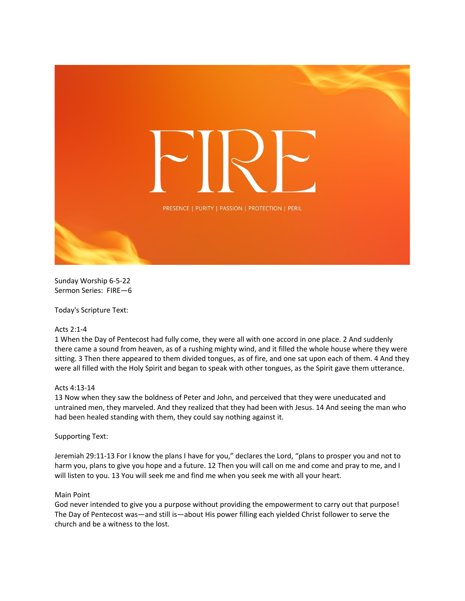

Sunday Worship 6-5-22 Sermon Series: FIRE—6

Today's Scripture Text:

## Acts 2:1-4

1 When the Day of Pentecost had fully come, they were all with one accord in one place. 2 And suddenly there came a sound from heaven, as of a rushing mighty wind, and it filled the whole house where they were sitting. 3 Then there appeared to them divided tongues, as of fire, and one sat upon each of them. 4 And they were all filled with the Holy Spirit and began to speak with other tongues, as the Spirit gave them utterance.

## Acts 4:13-14

13 Now when they saw the boldness of Peter and John, and perceived that they were uneducated and untrained men, they marveled. And they realized that they had been with Jesus. 14 And seeing the man who had been healed standing with them, they could say nothing against it.

## Supporting Text:

Jeremiah 29:11-13 For I know the plans I have for you," declares the Lord, "plans to prosper you and not to harm you, plans to give you hope and a future. 12 Then you will call on me and come and pray to me, and I will listen to you. 13 You will seek me and find me when you seek me with all your heart.

## Main Point

God never intended to give you a purpose without providing the empowerment to carry out that purpose! The Day of Pentecost was—and still is—about His power filling each yielded Christ follower to serve the church and be a witness to the lost.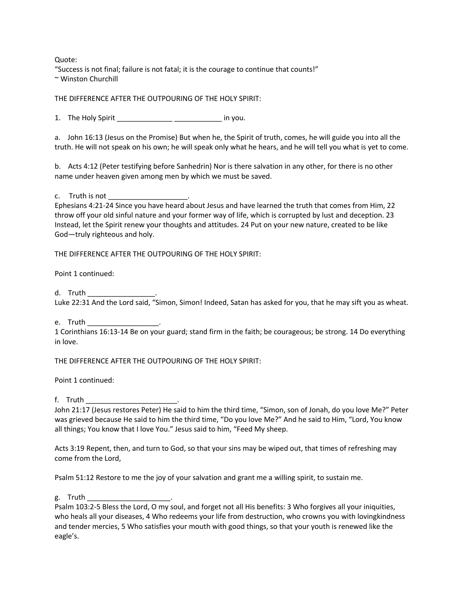Quote: "Success is not final; failure is not fatal; it is the courage to continue that counts!" ~ Winston Churchill

THE DIFFERENCE AFTER THE OUTPOURING OF THE HOLY SPIRIT:

1. The Holy Spirit \_\_\_\_\_\_\_\_\_\_\_\_\_\_ \_\_\_\_\_\_\_\_\_\_\_\_ in you.

a. John 16:13 (Jesus on the Promise) But when he, the Spirit of truth, comes, he will guide you into all the truth. He will not speak on his own; he will speak only what he hears, and he will tell you what is yet to come.

b. Acts 4:12 (Peter testifying before Sanhedrin) Nor is there salvation in any other, for there is no other name under heaven given among men by which we must be saved.

c. Truth is not

Ephesians 4:21-24 Since you have heard about Jesus and have learned the truth that comes from Him, 22 throw off your old sinful nature and your former way of life, which is corrupted by lust and deception. 23 Instead, let the Spirit renew your thoughts and attitudes. 24 Put on your new nature, created to be like God—truly righteous and holy.

THE DIFFERENCE AFTER THE OUTPOURING OF THE HOLY SPIRIT:

Point 1 continued:

d. Truth \_\_\_\_\_\_\_\_\_\_\_\_\_\_\_\_\_.

Luke 22:31 And the Lord said, "Simon, Simon! Indeed, Satan has asked for you, that he may sift you as wheat.

e. Truth \_\_\_\_\_\_\_\_\_\_\_\_\_\_\_\_\_\_.

1 Corinthians 16:13-14 Be on your guard; stand firm in the faith; be courageous; be strong. 14 Do everything in love.

THE DIFFERENCE AFTER THE OUTPOURING OF THE HOLY SPIRIT:

Point 1 continued:

f. Truth \_\_\_\_\_\_\_\_\_\_\_\_\_\_\_\_\_\_\_\_\_\_\_.

John 21:17 (Jesus restores Peter) He said to him the third time, "Simon, son of Jonah, do you love Me?" Peter was grieved because He said to him the third time, "Do you love Me?" And he said to Him, "Lord, You know all things; You know that I love You." Jesus said to him, "Feed My sheep.

Acts 3:19 Repent, then, and turn to God, so that your sins may be wiped out, that times of refreshing may come from the Lord,

Psalm 51:12 Restore to me the joy of your salvation and grant me a willing spirit, to sustain me.

g. Truth  $\_\_$ 

Psalm 103:2-5 Bless the Lord, O my soul, and forget not all His benefits: 3 Who forgives all your iniquities, who heals all your diseases, 4 Who redeems your life from destruction, who crowns you with lovingkindness and tender mercies, 5 Who satisfies your mouth with good things, so that your youth is renewed like the eagle's.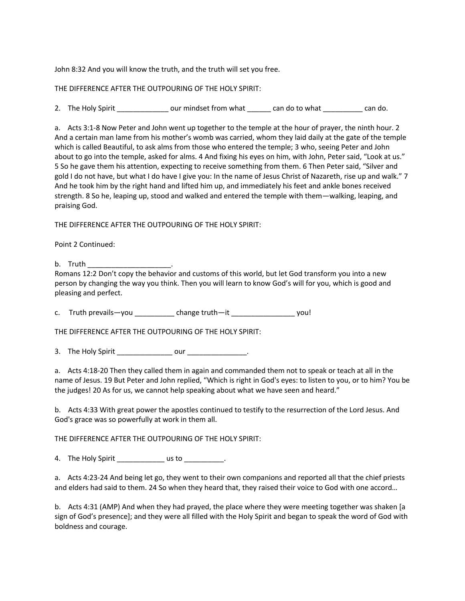John 8:32 And you will know the truth, and the truth will set you free.

THE DIFFERENCE AFTER THE OUTPOURING OF THE HOLY SPIRIT:

2. The Holy Spirit \_\_\_\_\_\_\_\_\_\_\_\_\_\_\_\_ our mindset from what \_\_\_\_\_\_\_ can do to what \_\_\_\_\_\_\_\_\_\_\_ can do.

a. Acts 3:1-8 Now Peter and John went up together to the temple at the hour of prayer, the ninth hour. 2 And a certain man lame from his mother's womb was carried, whom they laid daily at the gate of the temple which is called Beautiful, to ask alms from those who entered the temple; 3 who, seeing Peter and John about to go into the temple, asked for alms. 4 And fixing his eyes on him, with John, Peter said, "Look at us." 5 So he gave them his attention, expecting to receive something from them. 6 Then Peter said, "Silver and gold I do not have, but what I do have I give you: In the name of Jesus Christ of Nazareth, rise up and walk." 7 And he took him by the right hand and lifted him up, and immediately his feet and ankle bones received strength. 8 So he, leaping up, stood and walked and entered the temple with them—walking, leaping, and praising God.

THE DIFFERENCE AFTER THE OUTPOURING OF THE HOLY SPIRIT:

Point 2 Continued:

b. Truth \_\_\_\_\_\_\_\_\_\_\_\_\_\_\_\_\_\_\_\_\_. Romans 12:2 Don't copy the behavior and customs of this world, but let God transform you into a new person by changing the way you think. Then you will learn to know God's will for you, which is good and pleasing and perfect.

c. Truth prevails-you \_\_\_\_\_\_\_\_\_\_\_ change truth-it \_\_\_\_\_\_\_\_\_\_\_\_\_\_\_\_\_\_\_\_\_\_ you!

THE DIFFERENCE AFTER THE OUTPOURING OF THE HOLY SPIRIT:

3. The Holy Spirit our our control our the Holy Spirit

a. Acts 4:18-20 Then they called them in again and commanded them not to speak or teach at all in the name of Jesus. 19 But Peter and John replied, "Which is right in God's eyes: to listen to you, or to him? You be the judges! 20 As for us, we cannot help speaking about what we have seen and heard."

b. Acts 4:33 With great power the apostles continued to testify to the resurrection of the Lord Jesus. And God's grace was so powerfully at work in them all.

THE DIFFERENCE AFTER THE OUTPOURING OF THE HOLY SPIRIT:

4. The Holy Spirit \_\_\_\_\_\_\_\_\_\_\_\_\_\_\_ us to \_\_\_\_\_\_\_\_\_\_\_.

a. Acts 4:23-24 And being let go, they went to their own companions and reported all that the chief priests and elders had said to them. 24 So when they heard that, they raised their voice to God with one accord…

b. Acts 4:31 (AMP) And when they had prayed, the place where they were meeting together was shaken [a sign of God's presence]; and they were all filled with the Holy Spirit and began to speak the word of God with boldness and courage.